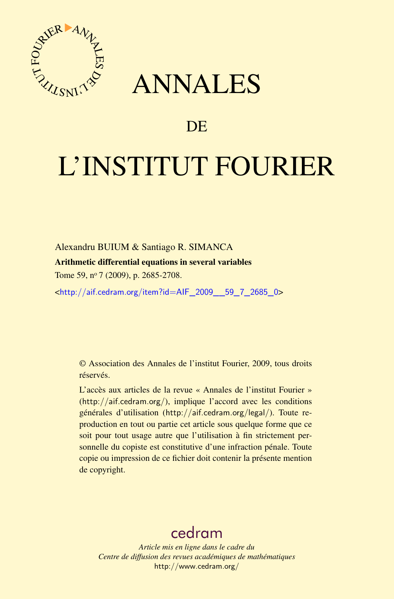

## ANNALES

### **DE**

# L'INSTITUT FOURIER

Alexandru BUIUM & Santiago R. SIMANCA

#### Arithmetic differential equations in several variables

Tome 59, nº 7 (2009), p. 2685-2708.

<[http://aif.cedram.org/item?id=AIF\\_2009\\_\\_59\\_7\\_2685\\_0](http://aif.cedram.org/item?id=AIF_2009__59_7_2685_0)>

© Association des Annales de l'institut Fourier, 2009, tous droits réservés.

L'accès aux articles de la revue « Annales de l'institut Fourier » (<http://aif.cedram.org/>), implique l'accord avec les conditions générales d'utilisation (<http://aif.cedram.org/legal/>). Toute reproduction en tout ou partie cet article sous quelque forme que ce soit pour tout usage autre que l'utilisation à fin strictement personnelle du copiste est constitutive d'une infraction pénale. Toute copie ou impression de ce fichier doit contenir la présente mention de copyright.

## [cedram](http://www.cedram.org/)

*Article mis en ligne dans le cadre du Centre de diffusion des revues académiques de mathématiques* <http://www.cedram.org/>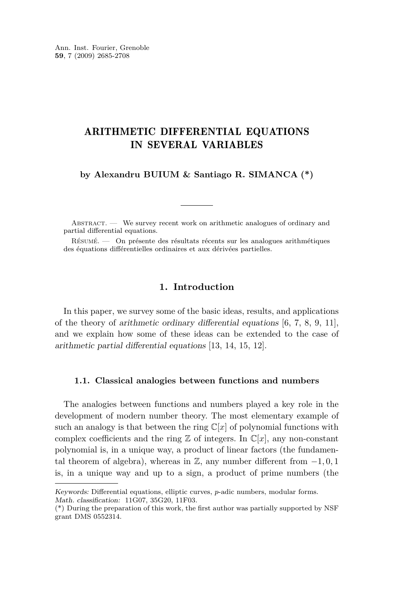#### ARITHMETIC DIFFERENTIAL EQUATIONS IN SEVERAL VARIABLES

**by Alexandru BUIUM & Santiago R. SIMANCA (\*)**

ABSTRACT. — We survey recent work on arithmetic analogues of ordinary and partial differential equations.

Résumé. — On présente des résultats récents sur les analogues arithmétiques des équations différentielles ordinaires et aux dérivées partielles.

#### **1. Introduction**

In this paper, we survey some of the basic ideas, results, and applications of the theory of arithmetic ordinary differential equations [\[6,](#page-23-0) [7,](#page-23-0) [8,](#page-23-0) [9,](#page-23-0) [11\]](#page-23-0), and we explain how some of these ideas can be extended to the case of arithmetic partial differential equations [\[13,](#page-23-0) [14,](#page-23-0) [15,](#page-23-0) [12\]](#page-23-0).

#### **1.1. Classical analogies between functions and numbers**

The analogies between functions and numbers played a key role in the development of modern number theory. The most elementary example of such an analogy is that between the ring  $\mathbb{C}[x]$  of polynomial functions with complex coefficients and the ring  $\mathbb Z$  of integers. In  $\mathbb C[x]$ , any non-constant polynomial is, in a unique way, a product of linear factors (the fundamental theorem of algebra), whereas in Z, any number different from *−*1*,* 0*,* 1 is, in a unique way and up to a sign, a product of prime numbers (the

Keywords: Differential equations, elliptic curves, *p*-adic numbers, modular forms. Math. classification: 11G07, 35G20, 11F03.

<sup>(\*)</sup> During the preparation of this work, the first author was partially supported by NSF grant DMS 0552314.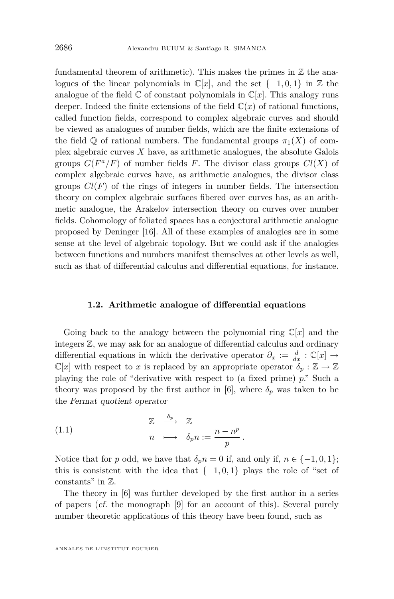<span id="page-2-0"></span>fundamental theorem of arithmetic). This makes the primes in  $\mathbb Z$  the analogues of the linear polynomials in  $\mathbb{C}[x]$ , and the set  $\{-1,0,1\}$  in Z the analogue of the field  $\mathbb C$  of constant polynomials in  $\mathbb C[x]$ . This analogy runs deeper. Indeed the finite extensions of the field  $\mathbb{C}(x)$  of rational functions, called function fields, correspond to complex algebraic curves and should be viewed as analogues of number fields, which are the finite extensions of the field  $\mathbb Q$  of rational numbers. The fundamental groups  $\pi_1(X)$  of complex algebraic curves *X* have, as arithmetic analogues, the absolute Galois groups  $G(F^a/F)$  of number fields F. The divisor class groups  $Cl(X)$  of complex algebraic curves have, as arithmetic analogues, the divisor class groups  $Cl(F)$  of the rings of integers in number fields. The intersection theory on complex algebraic surfaces fibered over curves has, as an arithmetic analogue, the Arakelov intersection theory on curves over number fields. Cohomology of foliated spaces has a conjectural arithmetic analogue proposed by Deninger [\[16\]](#page-23-0). All of these examples of analogies are in some sense at the level of algebraic topology. But we could ask if the analogies between functions and numbers manifest themselves at other levels as well, such as that of differential calculus and differential equations, for instance.

#### **1.2. Arithmetic analogue of differential equations**

Going back to the analogy between the polynomial ring  $\mathbb{C}[x]$  and the integers Z, we may ask for an analogue of differential calculus and ordinary differential equations in which the derivative operator  $\partial_x := \frac{d}{dx} : \mathbb{C}[x] \to$  $\mathbb{C}[x]$  with respect to *x* is replaced by an appropriate operator  $\delta_p : \mathbb{Z} \to \mathbb{Z}$ playing the role of "derivative with respect to (a fixed prime) *p*." Such a theory was proposed by the first author in [\[6\]](#page-23-0), where  $\delta_p$  was taken to be the Fermat quotient operator

(1.1) 
$$
\begin{array}{ccc}\n\mathbb{Z} & \xrightarrow{\delta_p} & \mathbb{Z} \\
n & \longmapsto & \delta_p n := \frac{n - n^p}{p}.\n\end{array}
$$

Notice that for *p* odd, we have that  $\delta_p n = 0$  if, and only if,  $n \in \{-1, 0, 1\}$ ; this is consistent with the idea that  $\{-1,0,1\}$  plays the role of "set of constants" in Z.

The theory in [\[6\]](#page-23-0) was further developed by the first author in a series of papers (cf. the monograph [\[9\]](#page-23-0) for an account of this). Several purely number theoretic applications of this theory have been found, such as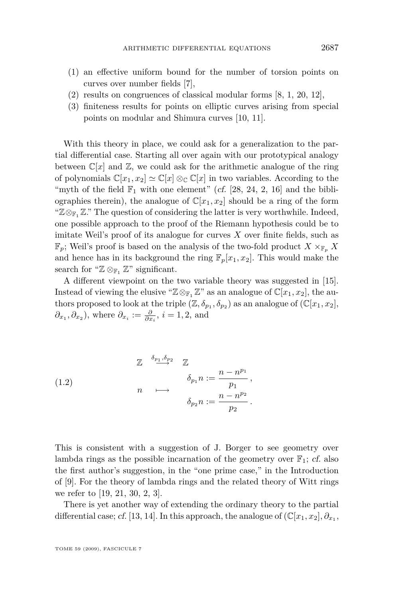- <span id="page-3-0"></span>(1) an effective uniform bound for the number of torsion points on curves over number fields [\[7\]](#page-23-0),
- (2) results on congruences of classical modular forms [\[8,](#page-23-0) [1,](#page-23-0) [20,](#page-23-0) [12\]](#page-23-0),
- (3) finiteness results for points on elliptic curves arising from special points on modular and Shimura curves [\[10,](#page-23-0) [11\]](#page-23-0).

With this theory in place, we could ask for a generalization to the partial differential case. Starting all over again with our prototypical analogy between  $\mathbb{C}[x]$  and  $\mathbb{Z}$ , we could ask for the arithmetic analogue of the ring of polynomials  $\mathbb{C}[x_1, x_2] \simeq \mathbb{C}[x] \otimes_{\mathbb{C}} \mathbb{C}[x]$  in two variables. According to the "myth of the field  $\mathbb{F}_1$  with one element" (cf. [\[28,](#page-24-0) [24,](#page-23-0) [2,](#page-23-0) [16\]](#page-23-0) and the bibliographies therein), the analogue of  $\mathbb{C}[x_1, x_2]$  should be a ring of the form "Z*⊗*<sup>F</sup><sup>1</sup> Z." The question of considering the latter is very worthwhile. Indeed, one possible approach to the proof of the Riemann hypothesis could be to imitate Weil's proof of its analogue for curves  $X$  over finite fields, such as  $\mathbb{F}_p$ ; Weil's proof is based on the analysis of the two-fold product  $X \times_{\mathbb{F}_p} X$ and hence has in its background the ring  $\mathbb{F}_p[x_1, x_2]$ . This would make the search for " $\mathbb{Z} \otimes_{\mathbb{F}_1} \mathbb{Z}$ " significant.

A different viewpoint on the two variable theory was suggested in [\[15\]](#page-23-0). Instead of viewing the elusive " $\mathbb{Z} \otimes_{\mathbb{F}_1} \mathbb{Z}$ " as an analogue of  $\mathbb{C}[x_1, x_2]$ , the authors proposed to look at the triple  $(\mathbb{Z}, \delta_{p_1}, \delta_{p_2})$  as an analogue of  $(\mathbb{C}[x_1, x_2],$  $\partial_{x_1}, \partial_{x_2}$ , where  $\partial_{x_i} := \frac{\partial}{\partial x_i}, i = 1, 2$ , and

(1.2) 
$$
\begin{array}{ccc}\n\mathbb{Z} & \xrightarrow{\delta_{p_1}, \delta_{p_2}} & \mathbb{Z} \\
 & \delta_{p_1} n := \frac{n - n^{p_1}}{p_1}, \\
 & n & \longmapsto \\
 & \delta_{p_2} n := \frac{n - n^{p_2}}{p_2}.\n\end{array}
$$

This is consistent with a suggestion of J. Borger to see geometry over lambda rings as the possible incarnation of the geometry over  $\mathbb{F}_1$ ; cf. also the first author's suggestion, in the "one prime case," in the Introduction of [\[9\]](#page-23-0). For the theory of lambda rings and the related theory of Witt rings we refer to [\[19,](#page-23-0) [21,](#page-23-0) [30,](#page-24-0) [2,](#page-23-0) [3\]](#page-23-0).

There is yet another way of extending the ordinary theory to the partial differential case; cf. [\[13,](#page-23-0) [14\]](#page-23-0). In this approach, the analogue of  $(\mathbb{C}[x_1, x_2], \partial_{x_1},$ 

TOME 59 (2009), FASCICULE 7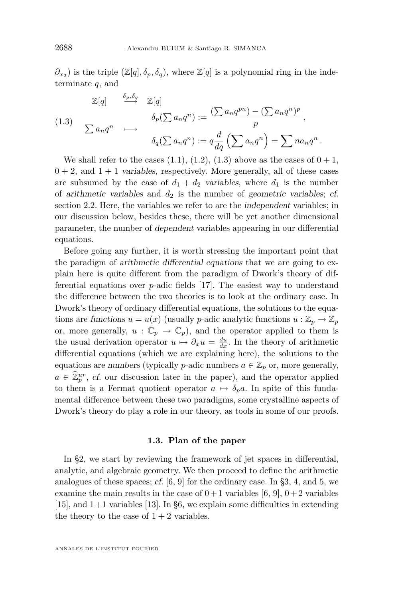$\partial_{x_2}$ ) is the triple  $(\mathbb{Z}[q], \delta_p, \delta_q)$ , where  $\mathbb{Z}[q]$  is a polynomial ring in the indeterminate *q*, and

(1.3)  
\n
$$
\mathbb{Z}[q] \xrightarrow{\delta_p, \delta_q} \mathbb{Z}[q] \qquad \qquad \delta_p(\sum a_n q^n) := \frac{(\sum a_n q^{pn}) - (\sum a_n q^n)^p}{p},
$$
\n
$$
\delta_q(\sum a_n q^n) := q \frac{d}{dq} (\sum a_n q^n) = \sum na_n q^n.
$$

We shall refer to the cases [\(1.1\)](#page-2-0), [\(1.2\)](#page-3-0), (1.3) above as the cases of  $0+1$ ,  $0 + 2$ , and  $1 + 1$  variables, respectively. More generally, all of these cases are subsumed by the case of  $d_1 + d_2$  variables, where  $d_1$  is the number of arithmetic variables and  $d_2$  is the number of geometric variables; cf. section [2.2.](#page-7-0) Here, the variables we refer to are the independent variables; in our discussion below, besides these, there will be yet another dimensional parameter, the number of dependent variables appearing in our differential equations.

Before going any further, it is worth stressing the important point that the paradigm of arithmetic differential equations that we are going to explain here is quite different from the paradigm of Dwork's theory of differential equations over *p*-adic fields [\[17\]](#page-23-0). The easiest way to understand the difference between the two theories is to look at the ordinary case. In Dwork's theory of ordinary differential equations, the solutions to the equations are functions  $u = u(x)$  (usually *p*-adic analytic functions  $u : \mathbb{Z}_p \to \mathbb{Z}_p$ or, more generally,  $u : \mathbb{C}_p \to \mathbb{C}_p$ , and the operator applied to them is the usual derivation operator  $u \mapsto \partial_x u = \frac{du}{dx}$ . In the theory of arithmetic differential equations (which we are explaining here), the solutions to the equations are numbers (typically *p*-adic numbers  $a \in \mathbb{Z}_p$  or, more generally,  $a \in \hat{\mathbb{Z}}_p^{ur}$ , cf. our discussion later in the paper), and the operator applied to them is a Fermat quotient operator  $a \mapsto \delta_p a$ . In spite of this fundamental difference between these two paradigms, some crystalline aspects of Dwork's theory do play a role in our theory, as tools in some of our proofs.

#### **1.3. Plan of the paper**

In §2, we start by reviewing the framework of jet spaces in differential, analytic, and algebraic geometry. We then proceed to define the arithmetic analogues of these spaces; cf.  $[6, 9]$  $[6, 9]$  $[6, 9]$  for the ordinary case. In §3, 4, and 5, we examine the main results in the case of  $0+1$  variables [\[6,](#page-23-0) [9\]](#page-23-0),  $0+2$  variables  $[15]$ , and  $1+1$  variables  $[13]$ . In §6, we explain some difficulties in extending the theory to the case of  $1 + 2$  variables.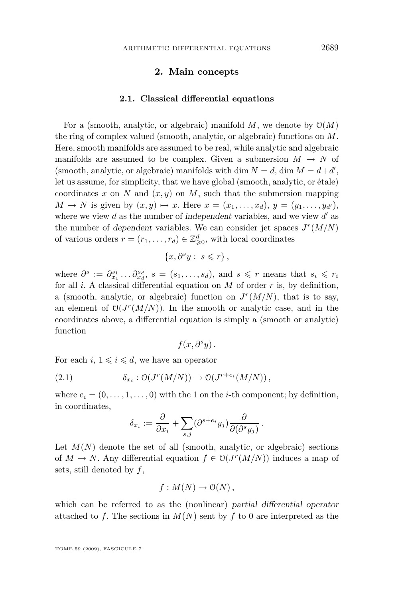#### **2. Main concepts**

#### **2.1. Classical differential equations**

<span id="page-5-0"></span>For a (smooth, analytic, or algebraic) manifold  $M$ , we denote by  $\mathcal{O}(M)$ the ring of complex valued (smooth, analytic, or algebraic) functions on *M*. Here, smooth manifolds are assumed to be real, while analytic and algebraic manifolds are assumed to be complex. Given a submersion  $M \to N$  of (smooth, analytic, or algebraic) manifolds with dim  $N = d$ , dim  $M = d+d'$ , let us assume, for simplicity, that we have global (smooth, analytic, or étale) coordinates x on N and  $(x, y)$  on M, such that the submersion mapping *M* → *N* is given by  $(x, y) \mapsto x$ . Here  $x = (x_1, \ldots, x_d)$ ,  $y = (y_1, \ldots, y_{d'})$ , where we view  $d$  as the number of independent variables, and we view  $d'$  as the number of dependent variables. We can consider jet spaces  $J<sup>r</sup>(M/N)$ of various orders  $r = (r_1, \ldots, r_d) \in \mathbb{Z}_{\geqslant 0}^d$ , with local coordinates

$$
\{x, \partial^s y : s \leqslant r\},\
$$

where  $\partial^s := \partial_{x_1}^{s_1} \dots \partial_{x_d}^{s_d}, s = (s_1, \dots, s_d)$ , and  $s \leq r$  means that  $s_i \leq r_i$ for all *i*. A classical differential equation on *M* of order *r* is, by definition, a (smooth, analytic, or algebraic) function on  $J<sup>r</sup>(M/N)$ , that is to say, an element of  $O(J^r(M/N))$ . In the smooth or analytic case, and in the coordinates above, a differential equation is simply a (smooth or analytic) function

$$
f(x,\partial^s y)\,.
$$

For each  $i, 1 \leq i \leq d$ , we have an operator

(2.1) 
$$
\delta_{x_i} : \mathcal{O}(J^r(M/N)) \to \mathcal{O}(J^{r+e_i}(M/N)),
$$

where  $e_i = (0, \ldots, 1, \ldots, 0)$  with the 1 on the *i*-th component; by definition, in coordinates,

$$
\delta_{x_i} := \frac{\partial}{\partial x_i} + \sum_{s,j} (\partial^{s+e_i} y_j) \frac{\partial}{\partial (\partial^s y_j)}.
$$

Let  $M(N)$  denote the set of all (smooth, analytic, or algebraic) sections of  $M \to N$ . Any differential equation  $f \in \mathcal{O}(J^r(M/N))$  induces a map of sets, still denoted by *f*,

$$
f: M(N) \to O(N),
$$

which can be referred to as the (nonlinear) partial differential operator attached to f. The sections in  $M(N)$  sent by f to 0 are interpreted as the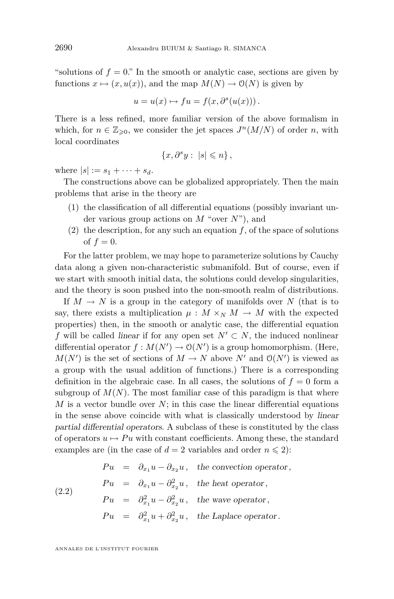<span id="page-6-0"></span>"solutions of  $f = 0$ ." In the smooth or analytic case, sections are given by functions  $x \mapsto (x, u(x))$ , and the map  $M(N) \to O(N)$  is given by

$$
u = u(x) \mapsto fu = f(x, \partial^s(u(x))).
$$

There is a less refined, more familiar version of the above formalism in which, for  $n \in \mathbb{Z}_{\geqslant 0}$ , we consider the jet spaces  $J^n(M/N)$  of order *n*, with local coordinates

$$
\{x, \partial^s y : |s| \leqslant n\},\
$$

where  $|s| := s_1 + \cdots + s_d$ .

The constructions above can be globalized appropriately. Then the main problems that arise in the theory are

- (1) the classification of all differential equations (possibly invariant under various group actions on *M* "over *N*"), and
- (2) the description, for any such an equation  $f$ , of the space of solutions of  $f = 0$ .

For the latter problem, we may hope to parameterize solutions by Cauchy data along a given non-characteristic submanifold. But of course, even if we start with smooth initial data, the solutions could develop singularities, and the theory is soon pushed into the non-smooth realm of distributions.

If  $M \to N$  is a group in the category of manifolds over N (that is to say, there exists a multiplication  $\mu : M \times_N M \to M$  with the expected properties) then, in the smooth or analytic case, the differential equation *f* will be called linear if for any open set  $N' \subset N$ , the induced nonlinear differential operator  $f : M(N') \to O(N')$  is a group homomorphism. (Here,  $M(N')$  is the set of sections of  $M \to N$  above  $N'$  and  $O(N')$  is viewed as a group with the usual addition of functions.) There is a corresponding definition in the algebraic case. In all cases, the solutions of  $f = 0$  form a subgroup of  $M(N)$ . The most familiar case of this paradigm is that where *M* is a vector bundle over *N*; in this case the linear differential equations in the sense above coincide with what is classically understood by linear partial differential operators. A subclass of these is constituted by the class of operators  $u \mapsto Pu$  with constant coefficients. Among these, the standard examples are (in the case of  $d = 2$  variables and order  $n \leq 2$ ):

(2.2) 
$$
Pu = \partial_{x_1} u - \partial_{x_2} u, \text{ the convection operator,}
$$

$$
Pu = \partial_{x_1} u - \partial_{x_2}^2 u, \text{ the heat operator,}
$$

$$
Pu = \partial_{x_1}^2 u - \partial_{x_2}^2 u, \text{ the wave operator,}
$$

$$
Pu = \partial_{x_1}^2 u + \partial_{x_2}^2 u, \text{ the Laplace operator.}
$$

ANNALES DE L'INSTITUT FOURIER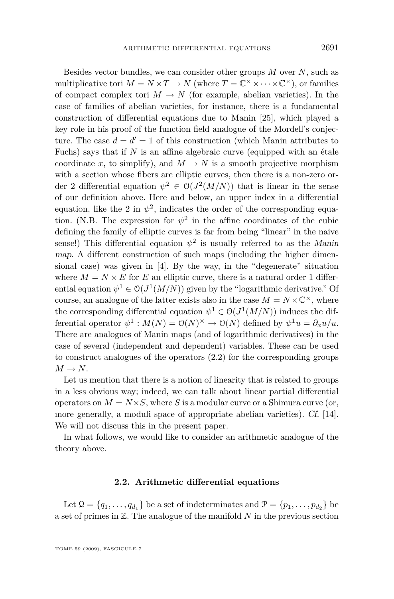<span id="page-7-0"></span>Besides vector bundles, we can consider other groups *M* over *N*, such as multiplicative tori  $M = N \times T \to N$  (where  $T = \mathbb{C}^\times \times \cdots \times \mathbb{C}^\times$ ), or families of compact complex tori  $M \to N$  (for example, abelian varieties). In the case of families of abelian varieties, for instance, there is a fundamental construction of differential equations due to Manin [\[25\]](#page-24-0), which played a key role in his proof of the function field analogue of the Mordell's conjecture. The case  $d = d' = 1$  of this construction (which Manin attributes to Fuchs) says that if *N* is an affine algebraic curve (equipped with an étale coordinate *x*, to simplify), and  $M \to N$  is a smooth projective morphism with a section whose fibers are elliptic curves, then there is a non-zero order 2 differential equation  $\psi^2 \in O(J^2(M/N))$  that is linear in the sense of our definition above. Here and below, an upper index in a differential equation, like the 2 in  $\psi^2$ , indicates the order of the corresponding equation. (N.B. The expression for  $\psi^2$  in the affine coordinates of the cubic defining the family of elliptic curves is far from being "linear" in the naive sense!) This differential equation  $\psi^2$  is usually referred to as the *Manin* map. A different construction of such maps (including the higher dimensional case) was given in [\[4\]](#page-23-0). By the way, in the "degenerate" situation where  $M = N \times E$  for *E* an elliptic curve, there is a natural order 1 differential equation  $\psi^1 \in O(J^1(M/N))$  given by the "logarithmic derivative." Of course, an analogue of the latter exists also in the case  $M = N \times \mathbb{C}^{\times}$ , where the corresponding differential equation  $\psi^1 \in O(J^1(M/N))$  induces the differential operator  $\psi^1 : M(N) = \mathcal{O}(N)^\times \to \mathcal{O}(N)$  defined by  $\psi^1 u = \partial_x u/u$ . There are analogues of Manin maps (and of logarithmic derivatives) in the case of several (independent and dependent) variables. These can be used to construct analogues of the operators [\(2.2\)](#page-6-0) for the corresponding groups  $M \rightarrow N$ .

Let us mention that there is a notion of linearity that is related to groups in a less obvious way; indeed, we can talk about linear partial differential operators on  $M = N \times S$ , where *S* is a modular curve or a Shimura curve (or, more generally, a moduli space of appropriate abelian varieties). Cf. [\[14\]](#page-23-0). We will not discuss this in the present paper.

In what follows, we would like to consider an arithmetic analogue of the theory above.

#### **2.2. Arithmetic differential equations**

Let  $\mathcal{Q} = \{q_1, \ldots, q_{d_1}\}\$ be a set of indeterminates and  $\mathcal{P} = \{p_1, \ldots, p_{d_2}\}\$ be a set of primes in Z. The analogue of the manifold *N* in the previous section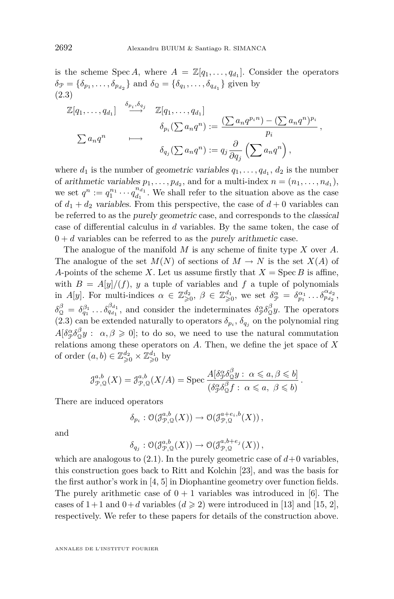is the scheme Spec *A*, where  $A = \mathbb{Z}[q_1, \ldots, q_{d_1}]$ . Consider the operators  $\delta_{\mathcal{P}} = \{\delta_{p_1}, \ldots, \delta_{p_{d_2}}\}$  and  $\delta_{\mathcal{Q}} = \{\delta_{q_1}, \ldots, \delta_{q_{d_1}}\}$  given by (2.3)

$$
\mathbb{Z}[q_1,\ldots,q_{d_1}] \xrightarrow{\delta_{p_i},\delta_{q_j}} \mathbb{Z}[q_1,\ldots,q_{d_1}]
$$

$$
\delta_{p_i}(\sum a_n q^n) := \frac{(\sum a_n q^{p_i n}) - (\sum a_n q^n)^{p_i}}{p_i},
$$

$$
\delta_{q_j}(\sum a_n q^n) := q_j \frac{\partial}{\partial q_j} (\sum a_n q^n),
$$

where  $d_1$  is the number of geometric variables  $q_1, \ldots, q_{d_1}, d_2$  is the number of arithmetic variables  $p_1, \ldots, p_{d_2}$ , and for a multi-index  $n = (n_1, \ldots, n_{d_1}),$ we set  $q^n := q_1^{n_1} \cdots q_{d_1}^{n_{d_1}}$ . We shall refer to the situation above as the case of  $d_1 + d_2$  variables. From this perspective, the case of  $d + 0$  variables can be referred to as the purely geometric case, and corresponds to the classical case of differential calculus in *d* variables. By the same token, the case of  $0 + d$  variables can be referred to as the purely arithmetic case.

The analogue of the manifold *M* is any scheme of finite type *X* over *A*. The analogue of the set  $M(N)$  of sections of  $M \to N$  is the set  $X(A)$  of *A*-points of the scheme *X*. Let us assume firstly that  $X = \text{Spec } B$  is affine, with  $B = A[y]/(f)$ , *y* a tuple of variables and *f* a tuple of polynomials in *A*[*y*]. For multi-indices  $\alpha \in \mathbb{Z}_{\geqslant 0}^{d_2}$ ,  $\beta \in \mathbb{Z}_{\geqslant 0}^{d_1}$ , we set  $\delta_{\mathcal{P}}^{\alpha} = \delta_{p_1}^{\alpha_1} \dots \delta_{p_{d_2}}^{\alpha_{d_2}}$ ,  $\delta_0^{\beta} = \delta_{q_1}^{\beta_1} \dots \delta_{q_{d_1}}^{\beta_{d_1}}$ , and consider the indeterminates  $\delta_{\mathcal{P}}^{\alpha} \delta_{\mathcal{Q}}^{\beta}$  $_{\mathcal{Q}}^{\mathcal{P}} y$ . The operators  $(2.3)$  can be extended naturally to operators  $\delta_{p_i}, \delta_{q_j}$  on the polynomial ring  $A$ [*δ*<sup>α</sup><sub>β</sub> $\delta$ <sub>Ω</sub><sup>β</sup>  $\mathcal{L}_{\Omega}^{\beta} y$  :  $\alpha, \beta \geqslant 0$ ]; to do so, we need to use the natural commutation relations among these operators on *A*. Then, we define the jet space of *X* of order  $(a, b) \in \mathbb{Z}_{\geqslant 0}^{d_2} \times \mathbb{Z}_{\geqslant 0}^{d_1}$  by

$$
\mathcal{J}_{\mathcal{P},\mathcal{Q}}^{a,b}(X) = \mathcal{J}_{\mathcal{P},\mathcal{Q}}^{a,b}(X/A) = \text{Spec } \frac{A[\delta_{\mathcal{P}}^{\alpha} \delta_{\mathcal{Q}}^{\beta} y : \alpha \leq a, \beta \leq b]}{(\delta_{\mathcal{P}}^{\alpha} \delta_{\mathcal{Q}}^{\beta} f : \alpha \leq a, \beta \leq b)}.
$$

There are induced operators

$$
\delta_{p_i} : \mathcal{O}(\mathcal{J}_{\mathcal{P},\mathcal{Q}}^{a,b}(X)) \to \mathcal{O}(\mathcal{J}_{\mathcal{P},\mathcal{Q}}^{a+e_i,b}(X)),
$$

and

$$
\delta_{q_j} : \mathcal{O}(\mathcal{J}_{\mathcal{P},\mathcal{Q}}^{a,b}(X)) \to \mathcal{O}(\mathcal{J}_{\mathcal{P},\mathcal{Q}}^{a,b+e_j}(X)),
$$

which are analogous to  $(2.1)$ . In the purely geometric case of  $d+0$  variables, this construction goes back to Ritt and Kolchin [\[23\]](#page-23-0), and was the basis for the first author's work in [\[4,](#page-23-0) [5\]](#page-23-0) in Diophantine geometry over function fields. The purely arithmetic case of  $0 + 1$  variables was introduced in [\[6\]](#page-23-0). The cases of  $1+1$  and  $0+d$  variables  $(d \geq 2)$  were introduced in [\[13\]](#page-23-0) and [\[15,](#page-23-0) [2\]](#page-23-0), respectively. We refer to these papers for details of the construction above.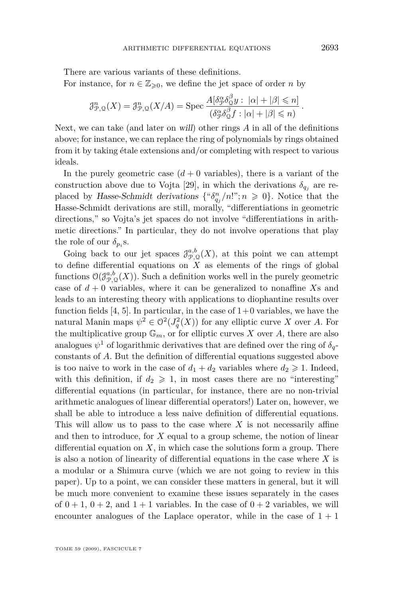There are various variants of these definitions.

For instance, for  $n \in \mathbb{Z}_{\geqslant 0}$ , we define the jet space of order *n* by

$$
\mathcal{J}_{\mathcal{P},\mathcal{Q}}^n(X) = \mathcal{J}_{\mathcal{P},\mathcal{Q}}^n(X/A) = \operatorname{Spec} \frac{A[\delta_{\mathcal{P}}^{\alpha} \delta_{\mathcal{Q}}^{\beta} y : |\alpha| + |\beta| \leq n]}{(\delta_{\mathcal{P}}^{\alpha} \delta_{\mathcal{Q}}^{\beta} f : |\alpha| + |\beta| \leq n)}.
$$

Next, we can take (and later on will) other rings *A* in all of the definitions above; for instance, we can replace the ring of polynomials by rings obtained from it by taking étale extensions and/or completing with respect to various ideals.

In the purely geometric case  $(d + 0 \text{ variables})$ , there is a variant of the construction above due to Vojta [\[29\]](#page-24-0), in which the derivations  $\delta_{q_i}$  are replaced by Hasse-Schmidt derivations  $\{\alpha_{q_j}/n! \, ; n \geq 0\}$ . Notice that the Hasse-Schmidt derivations are still, morally, "differentiations in geometric directions," so Vojta's jet spaces do not involve "differentiations in arithmetic directions." In particular, they do not involve operations that play the role of our  $\delta_{p_i}$ s.

Going back to our jet spaces  $\mathcal{J}_{\mathcal{P},\mathcal{Q}}^{a,b}(X)$ , at this point we can attempt to define differential equations on  $\widetilde{X}$  as elements of the rings of global functions  $\mathcal{O}(\mathcal{J}_{\mathcal{P},\mathcal{Q}}^{a,b}(X))$ . Such a definition works well in the purely geometric case of  $d + 0$  variables, where it can be generalized to nonaffine *X*s and leads to an interesting theory with applications to diophantine results over function fields  $[4, 5]$  $[4, 5]$  $[4, 5]$ . In particular, in the case of  $1+0$  variables, we have the natural Manin maps  $\psi^2 \in \mathcal{O}^2(J_q^2(X))$  for any elliptic curve *X* over *A*. For the multiplicative group  $\mathbb{G}_m$ , or for elliptic curves *X* over *A*, there are also analogues  $\psi^1$  of logarithmic derivatives that are defined over the ring of  $\delta_q$ constants of *A*. But the definition of differential equations suggested above is too naive to work in the case of  $d_1 + d_2$  variables where  $d_2 \geq 1$ . Indeed, with this definition, if  $d_2 \geqslant 1$ , in most cases there are no "interesting" differential equations (in particular, for instance, there are no non-trivial arithmetic analogues of linear differential operators!) Later on, however, we shall be able to introduce a less naive definition of differential equations. This will allow us to pass to the case where *X* is not necessarily affine and then to introduce, for *X* equal to a group scheme, the notion of linear differential equation on  $X$ , in which case the solutions form a group. There is also a notion of linearity of differential equations in the case where *X* is a modular or a Shimura curve (which we are not going to review in this paper). Up to a point, we can consider these matters in general, but it will be much more convenient to examine these issues separately in the cases of  $0 + 1$ ,  $0 + 2$ , and  $1 + 1$  variables. In the case of  $0 + 2$  variables, we will encounter analogues of the Laplace operator, while in the case of  $1 + 1$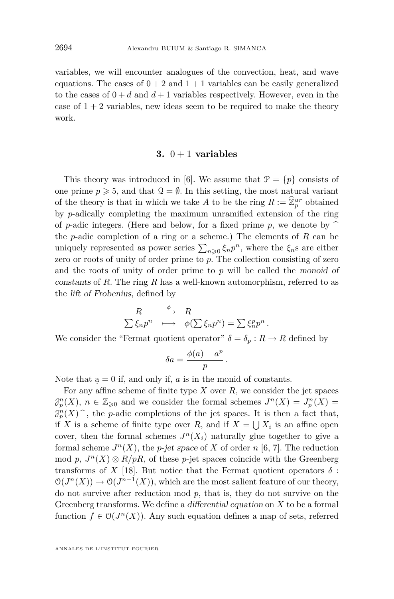variables, we will encounter analogues of the convection, heat, and wave equations. The cases of  $0 + 2$  and  $1 + 1$  variables can be easily generalized to the cases of  $0 + d$  and  $d + 1$  variables respectively. However, even in the case of  $1 + 2$  variables, new ideas seem to be required to make the theory work.

#### **3.**  $0+1$  **variables**

This theory was introduced in [\[6\]](#page-23-0). We assume that  $\mathcal{P} = \{p\}$  consists of one prime  $p \ge 5$ , and that  $\mathcal{Q} = \emptyset$ . In this setting, the most natural variant of the theory is that in which we take *A* to be the ring  $R := \widehat{\mathbb{Z}}_p^{ur}$  obtained by *p*-adically completing the maximum unramified extension of the ring of *p*-adic integers. (Here and below, for a fixed prime *p*, we denote by  $\hat{ }$ the *p*-adic completion of a ring or a scheme.) The elements of *R* can be uniquely represented as power series  $\sum_{n\geqslant 0} \xi_n p^n$ , where the  $\xi_n$ s are either zero or roots of unity of order prime to *p*. The collection consisting of zero and the roots of unity of order prime to *p* will be called the monoid of constants of *R*. The ring *R* has a well-known automorphism, referred to as the lift of Frobenius, defined by

$$
\begin{array}{ccc}\nR & \stackrel{\phi}{\longrightarrow} & R \\
\sum \xi_n p^n & \longmapsto & \phi(\sum \xi_n p^n) = \sum \xi_n^p p^n \,.\n\end{array}
$$

We consider the "Fermat quotient operator"  $\delta = \delta_p : R \to R$  defined by

$$
\delta a = \frac{\phi(a) - a^p}{p}
$$

*.*

Note that  $a = 0$  if, and only if, *a* is in the monid of constants.

For any affine scheme of finite type *X* over *R*, we consider the jet spaces  $\mathcal{J}_p^n(X)$ ,  $n \in \mathbb{Z}_{\geqslant 0}$  and we consider the formal schemes  $J^n(X) = J_p^n(X)$  $\mathcal{J}_p^n(X)$ , the *p*-adic completions of the jet spaces. It is then a fact that, if *X* is a scheme of finite type over *R*, and if  $X = \bigcup X_i$  is an affine open cover, then the formal schemes  $J^n(X_i)$  naturally glue together to give a formal scheme  $J^n(X)$ , the *p*-jet space of X of order *n* [\[6,](#page-23-0) [7\]](#page-23-0). The reduction mod *p*,  $J^n(X) \otimes R/pR$ , of these *p*-jet spaces coincide with the Greenberg transforms of *X* [\[18\]](#page-23-0). But notice that the Fermat quotient operators  $\delta$ :  $\mathcal{O}(J^n(X)) \to \mathcal{O}(J^{n+1}(X))$ , which are the most salient feature of our theory, do not survive after reduction mod *p*, that is, they do not survive on the Greenberg transforms. We define a differential equation on *X* to be a formal function  $f \in \mathcal{O}(J^n(X))$ . Any such equation defines a map of sets, referred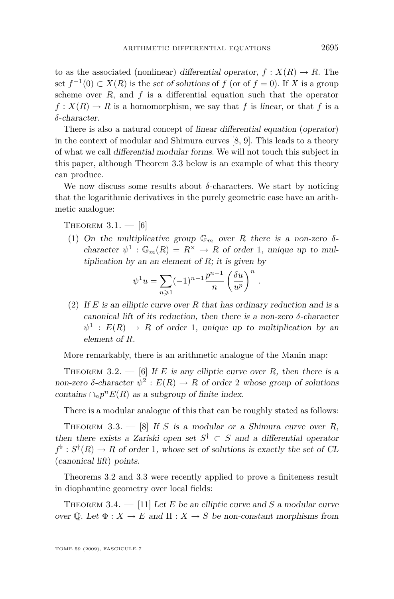<span id="page-11-0"></span>to as the associated (nonlinear) differential operator,  $f: X(R) \to R$ . The set  $f^{-1}(0)$  ⊂  $X(R)$  is the set of solutions of  $f$  (or of  $f = 0$ ). If  $X$  is a group scheme over  $R$ , and  $f$  is a differential equation such that the operator  $f: X(R) \to R$  is a homomorphism, we say that *f* is linear, or that *f* is a *δ*-character.

There is also a natural concept of linear differential equation (operator) in the context of modular and Shimura curves [\[8,](#page-23-0) [9\]](#page-23-0). This leads to a theory of what we call differential modular forms. We will not touch this subject in this paper, although Theorem 3.3 below is an example of what this theory can produce.

We now discuss some results about  $\delta$ -characters. We start by noticing that the logarithmic derivatives in the purely geometric case have an arithmetic analogue:

THEOREM  $3.1. - 6$ 

(1) On the multiplicative group  $\mathbb{G}_m$  over R there is a non-zero  $\delta$ character  $\psi^1$ :  $\mathbb{G}_m(R) = R^{\times} \rightarrow R$  of order 1, unique up to multiplication by an an element of *R*; it is given by

$$
\psi^1 u = \sum_{n\geqslant 1} (-1)^{n-1} \frac{p^{n-1}}{n} \left(\frac{\delta u}{u^p}\right)^n.
$$

(2) If *E* is an elliptic curve over *R* that has ordinary reduction and is a canonical lift of its reduction, then there is a non-zero *δ*-character  $\psi^1$  :  $E(R) \rightarrow R$  of order 1, unique up to multiplication by an element of *R*.

More remarkably, there is an arithmetic analogue of the Manin map:

THEOREM 3.2.  $-$  [\[6\]](#page-23-0) If *E* is any elliptic curve over *R*, then there is a non-zero  $\delta$ -character  $\psi^2 : E(R) \to R$  of order 2 whose group of solutions contains  $\bigcap_n p^n E(R)$  as a subgroup of finite index.

There is a modular analogue of this that can be roughly stated as follows:

THEOREM 3.3.  $-$  [\[8\]](#page-23-0) If *S* is a modular or a Shimura curve over *R*, then there exists a Zariski open set  $S^{\dagger} \subset S$  and a differential operator  $f^{\flat}: S^{\dagger}(R) \to R$  of order 1, whose set of solutions is exactly the set of CL (canonical lift) points.

Theorems 3.2 and 3.3 were recently applied to prove a finiteness result in diophantine geometry over local fields:

THEOREM 3.4.  $-$  [\[11\]](#page-23-0) Let *E* be an elliptic curve and *S* a modular curve over Q. Let  $\Phi: X \to E$  and  $\Pi: X \to S$  be non-constant morphisms from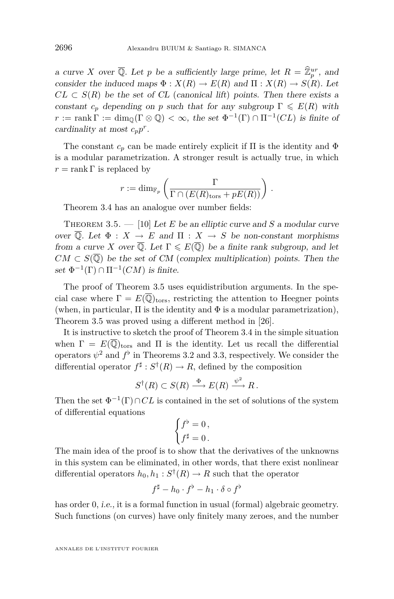a curve *X* over  $\overline{Q}$ . Let *p* be a sufficiently large prime, let  $R = \widehat{\mathbb{Z}}_p^{ur}$ , and consider the induced maps  $\Phi : X(R) \to E(R)$  and  $\Pi : X(R) \to S(R)$ . Let  $CL \subset S(R)$  be the set of CL (canonical lift) points. Then there exists a constant  $c_p$  depending on *p* such that for any subgroup  $\Gamma \leqslant E(R)$  with  $r := \text{rank } \Gamma := \dim_{\mathbb{Q}}(\Gamma \otimes \mathbb{Q}) < \infty$ , the set  $\Phi^{-1}(\Gamma) \cap \Pi^{-1}(CL)$  is finite of cardinality at most  $c_p p^r$ .

The constant  $c_p$  can be made entirely explicit if  $\Pi$  is the identity and  $\Phi$ is a modular parametrization. A stronger result is actually true, in which  $r = \text{rank } \Gamma$  is replaced by

$$
r := \dim_{\mathbb{F}_p} \left( \frac{\Gamma}{\Gamma \cap (E(R)_{\text{tors}} + pE(R))} \right).
$$

Theorem [3.4](#page-11-0) has an analogue over number fields:

THEOREM 3.5.  $-$  [\[10\]](#page-23-0) Let *E* be an elliptic curve and *S* a modular curve over  $\overline{Q}$ . Let  $\Phi : X \to E$  and  $\Pi : X \to S$  be non-constant morphisms from a curve *X* over  $\overline{Q}$ . Let  $\Gamma \leqslant E(\overline{Q})$  be a finite rank subgroup, and let  $CM \subset S(\overline{\mathbb{Q}})$  be the set of CM (complex multiplication) points. Then the set  $\Phi^{-1}(\Gamma) \cap \Pi^{-1}(CM)$  is finite.

The proof of Theorem 3.5 uses equidistribution arguments. In the special case where  $\Gamma = E(\overline{\mathbb{Q}})_{\text{tors}}$ , restricting the attention to Heegner points (when, in particular,  $\Pi$  is the identity and  $\Phi$  is a modular parametrization), Theorem 3.5 was proved using a different method in [\[26\]](#page-24-0).

It is instructive to sketch the proof of Theorem [3.4](#page-11-0) in the simple situation when  $\Gamma = E(\overline{\mathbb{Q}})_{\text{tors}}$  and  $\Pi$  is the identity. Let us recall the differential operators  $\psi^2$  and  $f^{\flat}$  in Theorems [3.2](#page-11-0) and [3.3,](#page-11-0) respectively. We consider the differential operator  $f^{\sharp}: S^{\dagger}(R) \to R$ , defined by the composition

$$
S^{\dagger}(R) \subset S(R) \xrightarrow{\Phi} E(R) \xrightarrow{\psi^2} R.
$$

Then the set  $\Phi^{-1}(\Gamma) \cap CL$  is contained in the set of solutions of the system of differential equations

$$
\begin{cases} f^{\flat} = 0 \,, \\ f^{\sharp} = 0 \,. \end{cases}
$$

The main idea of the proof is to show that the derivatives of the unknowns in this system can be eliminated, in other words, that there exist nonlinear differential operators  $h_0, h_1 : S^{\dagger}(R) \to R$  such that the operator

$$
f^{\sharp} - h_0 \cdot f^{\flat} - h_1 \cdot \delta \circ f^{\flat}
$$

has order 0, *i.e.*, it is a formal function in usual (formal) algebraic geometry. Such functions (on curves) have only finitely many zeroes, and the number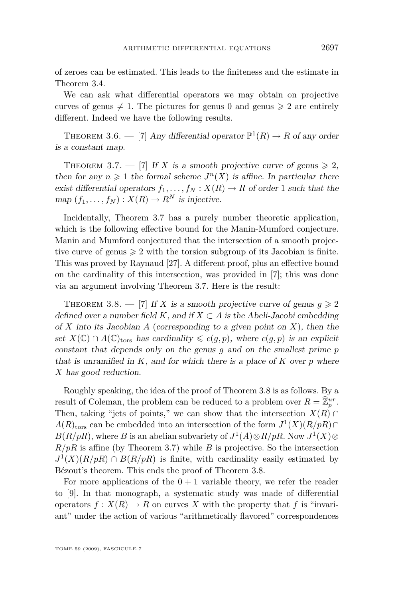of zeroes can be estimated. This leads to the finiteness and the estimate in Theorem [3.4.](#page-11-0)

We can ask what differential operators we may obtain on projective curves of genus  $\neq$  1. The pictures for genus 0 and genus  $\geq$  2 are entirely different. Indeed we have the following results.

THEOREM 3.6. — [\[7\]](#page-23-0) Any differential operator  $\mathbb{P}^1(R) \to R$  of any order is a constant map.

THEOREM 3.7. — [\[7\]](#page-23-0) If X is a smooth projective curve of genus  $\geq 2$ , then for any  $n \geq 1$  the formal scheme  $J<sup>n</sup>(X)$  is affine. In particular there exist differential operators  $f_1, \ldots, f_N : X(R) \to R$  of order 1 such that the  $map (f_1, \ldots, f_N) : X(R) \to R^N$  is injective.

Incidentally, Theorem 3.7 has a purely number theoretic application, which is the following effective bound for the Manin-Mumford conjecture. Manin and Mumford conjectured that the intersection of a smooth projective curve of genus  $\geq 2$  with the torsion subgroup of its Jacobian is finite. This was proved by Raynaud [\[27\]](#page-24-0). A different proof, plus an effective bound on the cardinality of this intersection, was provided in [\[7\]](#page-23-0); this was done via an argument involving Theorem 3.7. Here is the result:

THEOREM 3.8. — [\[7\]](#page-23-0) If X is a smooth projective curve of genus  $q \geq 2$ defined over a number field *K*, and if  $X \subset A$  is the Abeli-Jacobi embedding of *X* into its Jacobian *A* (corresponding to a given point on *X*), then the set  $X(\mathbb{C}) \cap A(\mathbb{C})$ <sub>tors</sub> has cardinality  $\leq c(q, p)$ , where  $c(q, p)$  is an explicit constant that depends only on the genus *g* and on the smallest prime *p* that is unramified in  $K$ , and for which there is a place of  $K$  over  $p$  where *X* has good reduction.

Roughly speaking, the idea of the proof of Theorem 3.8 is as follows. By a result of Coleman, the problem can be reduced to a problem over  $R = \hat{\mathbb{Z}}_p^{ur}$ . Then, taking "jets of points," we can show that the intersection  $X(R) \cap \mathbb{R}$  $A(R)$ <sub>tors</sub> can be embedded into an intersection of the form  $J^1(X)(R/pR)$ ∩  $B(R/pR)$ , where *B* is an abelian subvariety of  $J^1(A) \otimes R/pR$ . Now  $J^1(X) \otimes$  $R/pR$  is affine (by Theorem 3.7) while *B* is projective. So the intersection  $J^1(X)(R/pR) \cap B(R/pR)$  is finite, with cardinality easily estimated by Bézout's theorem. This ends the proof of Theorem 3.8.

For more applications of the  $0 + 1$  variable theory, we refer the reader to [\[9\]](#page-23-0). In that monograph, a systematic study was made of differential operators  $f: X(R) \to R$  on curves X with the property that f is "invariant" under the action of various "arithmetically flavored" correspondences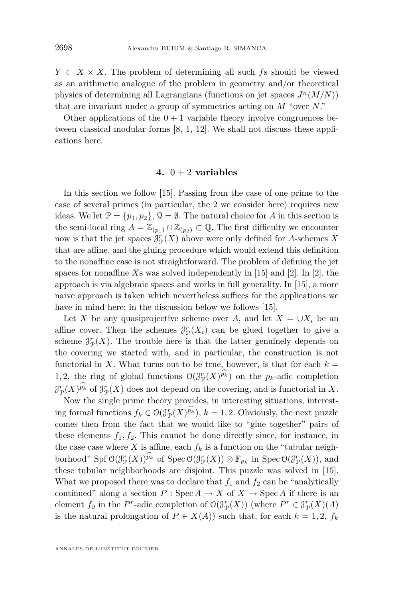*Y*  $\subset$  *X*  $\times$  *X*. The problem of determining all such *f*s should be viewed as an arithmetic analogue of the problem in geometry and/or theoretical physics of determining all Lagrangians (functions on jet spaces  $J<sup>n</sup>(M/N)$ ) that are invariant under a group of symmetries acting on *M* "over *N*."

Other applications of the  $0+1$  variable theory involve congruences between classical modular forms [\[8,](#page-23-0) [1,](#page-23-0) [12\]](#page-23-0). We shall not discuss these applications here.

#### 4.  $0 + 2$  **variables**

In this section we follow [\[15\]](#page-23-0). Passing from the case of one prime to the case of several primes (in particular, the 2 we consider here) requires new ideas. We let  $\mathcal{P} = \{p_1, p_2\}, \mathcal{Q} = \emptyset$ . The natural choice for *A* in this section is the semi-local ring  $A = \mathbb{Z}_{(p_1)} \cap \mathbb{Z}_{(p_2)} \subset \mathbb{Q}$ . The first difficulty we encounter now is that the jet spaces  $\mathcal{J}_{\mathcal{P}}^r(X)$  above were only defined for *A*-schemes *X* that are affine, and the gluing procedure which would extend this definition to the nonaffine case is not straightforward. The problem of defining the jet spaces for nonaffine *X*s was solved independently in [\[15\]](#page-23-0) and [\[2\]](#page-23-0). In [\[2\]](#page-23-0), the approach is via algebraic spaces and works in full generality. In [\[15\]](#page-23-0), a more naive approach is taken which nevertheless suffices for the applications we have in mind here; in the discussion below we follows [\[15\]](#page-23-0).

Let *X* be any quasiprojective scheme over *A*, and let  $X = \bigcup X_i$  be an affine cover. Then the schemes  $\mathcal{J}_{\mathcal{P}}^r(X_i)$  can be glued together to give a scheme  $\mathcal{J}_{\mathcal{P}}^r(X)$ . The trouble here is that the latter genuinely depends on the covering we started with, and in particular, the construction is not functorial in *X*. What turns out to be true, however, is that for each  $k =$ 1,2, the ring of global functions  $O(\mathcal{J}_{\mathcal{P}}^r(X)^{p_k})$  on the  $p_k$ -adic completion  $\mathcal{J}_{\mathcal{P}}^r(X)^{p_k}$  of  $\mathcal{J}_{\mathcal{P}}^r(X)$  does not depend on the covering, and is functorial in X.

Now the single prime theory provides, in interesting situations, interesting formal functions  $f_k \in \mathcal{O}(\mathcal{J}_{\mathcal{P}}^r(X)^{p_k}), k = 1, 2$ . Obviously, the next puzzle comes then from the fact that we would like to "glue together" pairs of these elements  $f_1, f_2$ . This cannot be done directly since, for instance, in the case case where  $X$  is affine, each  $f_k$  is a function on the "tubular neighborhood" Spf  $O(\mathcal{J}_{\mathcal{P}}^r(X))^{\hat{p}_k}$  of Spec  $O(\mathcal{J}_{\mathcal{P}}^r(X)) \otimes \mathbb{F}_{p_k}$  in Spec  $O(\mathcal{J}_{\mathcal{P}}^r(X))$ , and these tubular neighborhoods are disjoint. This puzzle was solved in [\[15\]](#page-23-0). What we proposed there was to declare that  $f_1$  and  $f_2$  can be "analytically" continued" along a section  $P : \text{Spec } A \to X$  of  $X \to \text{Spec } A$  if there is an element  $f_0$  in the  $P^r$ -adic completion of  $O(\mathcal{J}_{\mathcal{P}}^r(X))$  (where  $P^r \in \mathcal{J}_{\mathcal{P}}^r(X)(A)$ is the natural prolongation of  $P \in X(A)$ ) such that, for each  $k = 1, 2, f_k$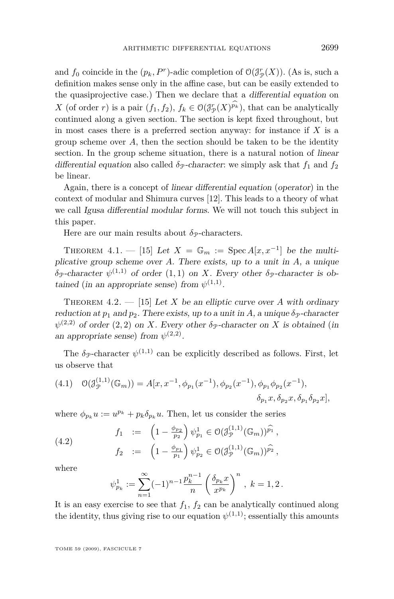<span id="page-15-0"></span>and  $f_0$  coincide in the  $(p_k, P^r)$ -adic completion of  $\mathcal{O}(\mathcal{J}_{\mathcal{P}}^r(X))$ . (As is, such a definition makes sense only in the affine case, but can be easily extended to the quasiprojective case.) Then we declare that a differential equation on *X* (of order *r*) is a pair  $(f_1, f_2)$ ,  $f_k \in O(\mathcal{J}_{\mathcal{P}}^r(X)^{p_k})$ , that can be analytically continued along a given section. The section is kept fixed throughout, but in most cases there is a preferred section anyway: for instance if *X* is a group scheme over *A*, then the section should be taken to be the identity section. In the group scheme situation, there is a natural notion of linear differential equation also called  $\delta$ <sub>P</sub>-character: we simply ask that  $f_1$  and  $f_2$ be linear.

Again, there is a concept of linear differential equation (operator) in the context of modular and Shimura curves [\[12\]](#page-23-0). This leads to a theory of what we call Igusa differential modular forms. We will not touch this subject in this paper.

Here are our main results about  $\delta_{\mathcal{P}}$ -characters.

THEOREM 4.1. — [\[15\]](#page-23-0) Let  $X = \mathbb{G}_m := \text{Spec } A[x, x^{-1}]$  be the multiplicative group scheme over *A*. There exists, up to a unit in *A*, a unique  $\delta_{\mathcal{P}}$ -character  $\psi^{(1,1)}$  of order  $(1,1)$  on *X*. Every other  $\delta_{\mathcal{P}}$ -character is obtained (in an appropriate sense) from  $\psi^{(1,1)}$ .

THEOREM 4.2.  $-$  [\[15\]](#page-23-0) Let *X* be an elliptic curve over *A* with ordinary reduction at  $p_1$  and  $p_2$ . There exists, up to a unit in A, a unique  $\delta_p$ -character  $\psi^{(2,2)}$  of order  $(2,2)$  on *X*. Every other  $\delta_{\mathcal{P}}$ -character on *X* is obtained (in an appropriate sense) from  $\psi^{(2,2)}$ .

The  $\delta_p$ -character  $\psi^{(1,1)}$  can be explicitly described as follows. First, let us observe that

$$
(4.1) \quad \mathcal{O}(\mathcal{J}_{\mathcal{P}}^{(1,1)}(\mathbb{G}_m)) = A[x, x^{-1}, \phi_{p_1}(x^{-1}), \phi_{p_2}(x^{-1}), \phi_{p_1}\phi_{p_2}(x^{-1}), \delta_{p_1}x, \delta_{p_2}x, \delta_{p_1}\delta_{p_2}x],
$$

where  $\phi_{p_k} u := u^{p_k} + p_k \delta_{p_k} u$ . Then, let us consider the series

(4.2) 
$$
f_1 := \left(1 - \frac{\phi_{p_2}}{p_2}\right) \psi_{p_1}^1 \in \mathcal{O}(\mathcal{J}_{\mathcal{P}}^{(1,1)}(\mathbb{G}_m))^{\widehat{p_1}},
$$

$$
f_2 := \left(1 - \frac{\phi_{p_1}}{p_1}\right) \psi_{p_2}^1 \in \mathcal{O}(\mathcal{J}_{\mathcal{P}}^{(1,1)}(\mathbb{G}_m))^{\widehat{p_2}},
$$

where

$$
\psi_{p_k}^1 := \sum_{n=1}^{\infty} (-1)^{n-1} \frac{p_k^{n-1}}{n} \left( \frac{\delta_{p_k} x}{x^{p_k}} \right)^n, \ k = 1, 2.
$$

It is an easy exercise to see that  $f_1$ ,  $f_2$  can be analytically continued along the identity, thus giving rise to our equation  $\psi^{(1,1)}$ ; essentially this amounts

TOME 59 (2009), FASCICULE 7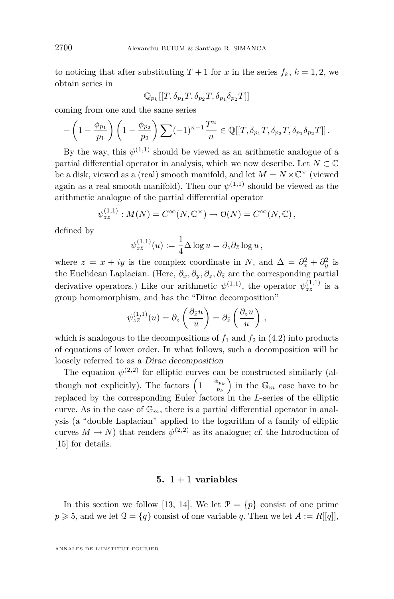to noticing that after substituting  $T + 1$  for x in the series  $f_k$ ,  $k = 1, 2$ , we obtain series in

$$
\mathbb{Q}_{p_k}[[T,\delta_{p_1}T,\delta_{p_2}T,\delta_{p_1}\delta_{p_2}T]]
$$

coming from one and the same series

$$
-\left(1-\frac{\phi_{p_1}}{p_1}\right)\left(1-\frac{\phi_{p_2}}{p_2}\right)\sum_{(n=1)} (-1)^{n-1}\frac{T^n}{n}\in \mathbb{Q}[[T,\delta_{p_1}T,\delta_{p_2}T,\delta_{p_1}\delta_{p_2}T]]\,.
$$

By the way, this  $\psi^{(1,1)}$  should be viewed as an arithmetic analogue of a partial differential operator in analysis, which we now describe. Let  $N \subset \mathbb{C}$ be a disk, viewed as a (real) smooth manifold, and let  $M = N \times \mathbb{C}^{\times}$  (viewed again as a real smooth manifold). Then our  $\psi^{(1,1)}$  should be viewed as the arithmetic analogue of the partial differential operator

$$
\psi_{z\bar{z}}^{(1,1)} : M(N) = C^{\infty}(N, \mathbb{C}^{\times}) \to \mathcal{O}(N) = C^{\infty}(N, \mathbb{C}),
$$

defined by

$$
\psi_{z\bar{z}}^{(1,1)}(u) := \frac{1}{4} \Delta \log u = \partial_z \partial_{\bar{z}} \log u,
$$

where  $z = x + iy$  is the complex coordinate in *N*, and  $\Delta = \partial_x^2 + \partial_y^2$  is the Euclidean Laplacian. (Here,  $\partial_x$ ,  $\partial_y$ ,  $\partial_z$ ,  $\partial_{\bar{z}}$  are the corresponding partial derivative operators.) Like our arithmetic  $\psi^{(1,1)}$ , the operator  $\psi^{(1,1)}_{z\overline{z}}$  is a group homomorphism, and has the "Dirac decomposition"

$$
\psi_{z\overline{z}}^{(1,1)}(u) = \partial_z \left( \frac{\partial_{\overline{z}} u}{u} \right) = \partial_{\overline{z}} \left( \frac{\partial_z u}{u} \right) ,
$$

which is analogous to the decompositions of  $f_1$  and  $f_2$  in [\(4.2\)](#page-15-0) into products of equations of lower order. In what follows, such a decomposition will be loosely referred to as a Dirac decomposition

The equation  $\psi^{(2,2)}$  for elliptic curves can be constructed similarly (although not explicitly). The factors  $\left(1 - \frac{\phi_{p_k}}{p_k}\right)$  in the  $\mathbb{G}_m$  case have to be replaced by the corresponding Euler factors in the *L*-series of the elliptic curve. As in the case of  $\mathbb{G}_m$ , there is a partial differential operator in analysis (a "double Laplacian" applied to the logarithm of a family of elliptic curves  $M \to N$ ) that renders  $\psi^{(2,2)}$  as its analogue; cf. the Introduction of [\[15\]](#page-23-0) for details.

#### 5.  $1 + 1$  **variables**

In this section we follow [\[13,](#page-23-0) [14\]](#page-23-0). We let  $\mathcal{P} = \{p\}$  consist of one prime  $p \ge 5$ , and we let  $\mathcal{Q} = \{q\}$  consist of one variable *q*. Then we let  $A := R[[q]]$ ,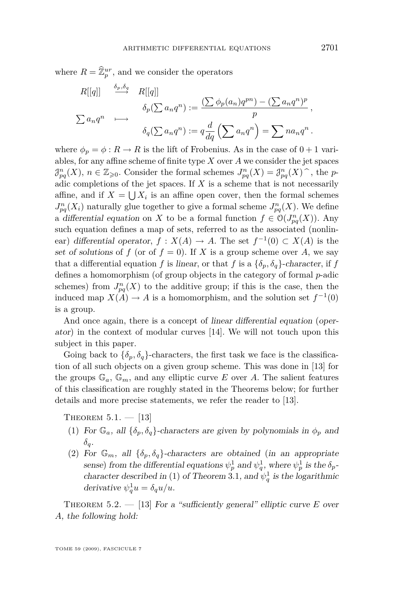where  $R = \widehat{\mathbb{Z}}_p^{ur}$ , and we consider the operators

$$
R[[q]] \xrightarrow{\delta_p, \delta_q} R[[q]]
$$
  
\n
$$
\delta_p(\sum a_n q^n) := \frac{(\sum \phi_p(a_n)q^{pn}) - (\sum a_n q^n)^p}{p},
$$
  
\n
$$
\delta_q(\sum a_n q^n) := q \frac{d}{dq} (\sum a_n q^n) = \sum na_n q^n.
$$

where  $\phi_p = \phi : R \to R$  is the lift of Frobenius. As in the case of  $0 + 1$  variables, for any affine scheme of finite type *X* over *A* we consider the jet spaces  $\mathcal{J}_{pq}^n(X)$ ,  $n \in \mathbb{Z}_{\geqslant 0}$ . Consider the formal schemes  $J_{pq}^n(X) = \mathcal{J}_{pq}^n(X)$ , the *p*-<br>police completions of the ist spaces. If Y is a scheme that is not possessibly adic completions of the jet spaces. If  $X$  is a scheme that is not necessarily affine, and if  $X = \bigcup X_i$  is an affine open cover, then the formal schemes  $J_{pq}^{n}(X_i)$  naturally glue together to give a formal scheme  $J_{pq}^{n}(X)$ . We define a differential equation on *X* to be a formal function  $f \in O(J_{pq}^{n}(X))$ . Any such equation defines a map of sets, referred to as the associated (nonlinear) differential operator,  $f: X(A) \to A$ . The set  $f^{-1}(0) \subset X(A)$  is the set of solutions of  $f$  (or of  $f = 0$ ). If  $X$  is a group scheme over  $A$ , we say that a differential equation *f* is linear, or that *f* is a  $\{\delta_p, \delta_q\}$ -character, if *f* defines a homomorphism (of group objects in the category of formal *p*-adic schemes) from  $J_{pq}^n(X)$  to the additive group; if this is the case, then the induced map  $X(A) \to A$  is a homomorphism, and the solution set  $f^{-1}(0)$ is a group.

And once again, there is a concept of linear differential equation (operator) in the context of modular curves [\[14\]](#page-23-0). We will not touch upon this subject in this paper.

Going back to  $\{\delta_p, \delta_q\}$ -characters, the first task we face is the classification of all such objects on a given group scheme. This was done in [\[13\]](#page-23-0) for the groups  $\mathbb{G}_a$ ,  $\mathbb{G}_m$ , and any elliptic curve *E* over *A*. The salient features of this classification are roughly stated in the Theorems below; for further details and more precise statements, we refer the reader to [\[13\]](#page-23-0).

THEOREM  $5.1. - [13]$  $5.1. - [13]$ 

- (1) For  $\mathbb{G}_a$ , all  $\{\delta_p, \delta_q\}$ -characters are given by polynomials in  $\phi_p$  and *δq*.
- (2) For  $\mathbb{G}_m$ , all  $\{\delta_p, \delta_q\}$ -characters are obtained (in an appropriate  $\phi_p$  and  $\psi_q^1$  and  $\psi_q^1$ , where  $\psi_p^1$  is the  $\delta_p$ -character described in (1) of Theorem [3.1](#page-11-0), and  $\psi_q^1$  is the logarithmic derivative  $\psi_q^1 u = \delta_q u/u$ .

THEOREM 5.2.  $-$  [\[13\]](#page-23-0) For a "sufficiently general" elliptic curve *E* over *A*, the following hold: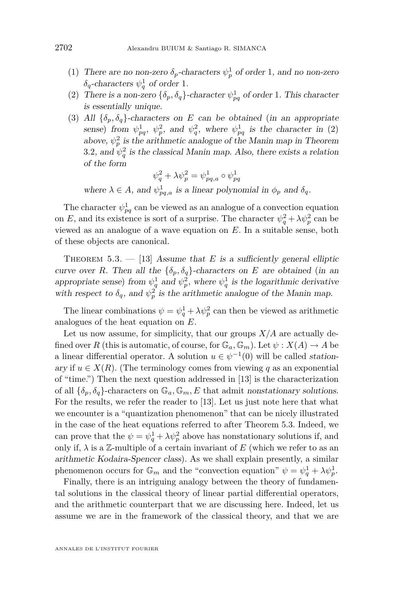- (1) There are no non-zero  $\delta_p$ -characters  $\psi_p^1$  of order 1, and no non-zero  $\delta_q$ -characters  $\psi_q^1$  of order 1.
- (2) There is a non-zero  $\{\delta_p, \delta_q\}$ -character  $\psi_{pq}^1$  of order 1. This character is essentially unique.
- (3) All  $\{\delta_p, \delta_q\}$ -characters on *E* can be obtained (in an appropriate sense) from  $\psi_{pq}^1$ ,  $\psi_p^2$ , and  $\psi_q^2$ , where  $\psi_{pq}^1$  is the character in (2) above,  $\psi_p^2$  is the arithmetic analogue of the Manin map in Theorem [3.2](#page-11-0), and  $\psi_q^2$  is the classical Manin map. Also, there exists a relation of the form

$$
\psi_q^2 + \lambda \psi_p^2 = \psi_{pq,a}^1 \circ \psi_{pq}^1
$$

where  $\lambda \in A$ , and  $\psi_{pq,a}^1$  is a linear polynomial in  $\phi_p$  and  $\delta_q$ .

The character  $\psi_{pq}^1$  can be viewed as an analogue of a convection equation on *E*, and its existence is sort of a surprise. The character  $\psi_q^2 + \lambda \psi_p^2$  can be viewed as an analogue of a wave equation on *E*. In a suitable sense, both of these objects are canonical.

THEOREM  $5.3. - [13]$  $5.3. - [13]$  Assume that *E* is a sufficiently general elliptic curve over *R*. Then all the  ${\delta_p, \delta_q}$ -characters on *E* are obtained (in an appropriate sense) from  $\psi_q^1$  and  $\psi_p^2$ , where  $\psi_q^1$  is the logarithmic derivative with respect to  $\delta_q$ , and  $\psi_p^2$  is the arithmetic analogue of the Manin map.

The linear combinations  $\psi = \psi_q^1 + \lambda \psi_p^2$  can then be viewed as arithmetic analogues of the heat equation on *E*.

Let us now assume, for simplicity, that our groups  $X/A$  are actually defined over *R* (this is automatic, of course, for  $\mathbb{G}_a$ ,  $\mathbb{G}_m$ ). Let  $\psi$  :  $X(A) \to A$  be a linear differential operator. A solution  $u \in \psi^{-1}(0)$  will be called *station*ary if  $u \in X(R)$ . (The terminology comes from viewing q as an exponential of "time.") Then the next question addressed in [\[13\]](#page-23-0) is the characterization of all  $\{\delta_p, \delta_q\}$ -characters on  $\mathbb{G}_a, \mathbb{G}_m, E$  that admit nonstationary solutions. For the results, we refer the reader to [\[13\]](#page-23-0). Let us just note here that what we encounter is a "quantization phenomenon" that can be nicely illustrated in the case of the heat equations referred to after Theorem 5.3. Indeed, we can prove that the  $\psi = \psi_q^1 + \lambda \psi_p^2$  above has nonstationary solutions if, and only if,  $\lambda$  is a Z-multiple of a certain invariant of E (which we refer to as an arithmetic Kodaira-Spencer class). As we shall explain presently, a similar phenomenon occurs for  $\mathbb{G}_m$  and the "convection equation"  $\psi = \psi_q^1 + \lambda \psi_p^1$ .

Finally, there is an intriguing analogy between the theory of fundamental solutions in the classical theory of linear partial differential operators, and the arithmetic counterpart that we are discussing here. Indeed, let us assume we are in the framework of the classical theory, and that we are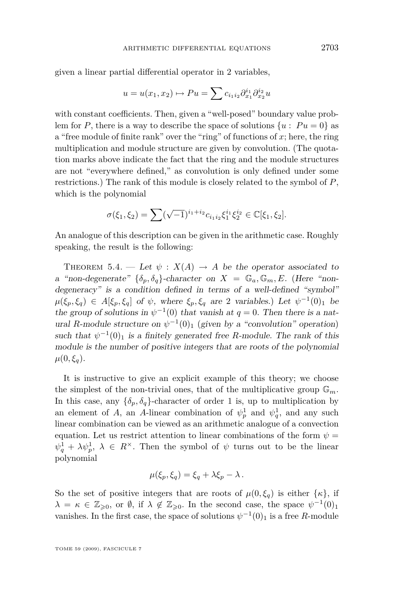given a linear partial differential operator in 2 variables,

$$
u = u(x_1, x_2) \mapsto Pu = \sum c_{i_1 i_2} \partial_{x_1}^{i_1} \partial_{x_2}^{i_2} u
$$

with constant coefficients. Then, given a "well-posed" boundary value problem for *P*, there is a way to describe the space of solutions  $\{u : Pu = 0\}$  as a "free module of finite rank" over the "ring" of functions of *x*; here, the ring multiplication and module structure are given by convolution. (The quotation marks above indicate the fact that the ring and the module structures are not "everywhere defined," as convolution is only defined under some restrictions.) The rank of this module is closely related to the symbol of *P*, which is the polynomial

$$
\sigma(\xi_1, \xi_2) = \sum (\sqrt{-1})^{i_1 + i_2} c_{i_1 i_2} \xi_1^{i_1} \xi_2^{i_2} \in \mathbb{C}[\xi_1, \xi_2].
$$

An analogue of this description can be given in the arithmetic case. Roughly speaking, the result is the following:

THEOREM 5.4. — Let  $\psi$  :  $X(A) \rightarrow A$  be the operator associated to a "non-degenerate"  $\{\delta_p, \delta_q\}$ -character on  $X = \mathbb{G}_a, \mathbb{G}_m, E$ . (Here "nondegeneracy" is a condition defined in terms of a well-defined "symbol"  $\mu(\xi_p, \xi_q) \in A[\xi_p, \xi_q]$  of  $\psi$ , where  $\xi_p, \xi_q$  are 2 variables.) Let  $\psi^{-1}(0)_1$  be the group of solutions in  $\psi^{-1}(0)$  that vanish at  $q = 0$ . Then there is a natural *R*-module structure on  $\psi^{-1}(0)$ <sup>1</sup> (given by a "convolution" operation) such that  $\psi^{-1}(0)_1$  is a finitely generated free *R*-module. The rank of this module is the number of positive integers that are roots of the polynomial  $\mu(0,\xi_q)$ .

It is instructive to give an explicit example of this theory; we choose the simplest of the non-trivial ones, that of the multiplicative group  $\mathbb{G}_m$ . In this case, any  $\{\delta_p, \delta_q\}$ -character of order 1 is, up to multiplication by an element of *A*, an *A*-linear combination of  $\psi_p^1$  and  $\psi_q^1$ , and any such linear combination can be viewed as an arithmetic analogue of a convection equation. Let us restrict attention to linear combinations of the form  $\psi =$  $\psi_q^1 + \lambda \psi_p^1$ ,  $\lambda \in R^\times$ . Then the symbol of  $\psi$  turns out to be the linear polynomial

$$
\mu(\xi_p, \xi_q) = \xi_q + \lambda \xi_p - \lambda \, .
$$

So the set of positive integers that are roots of  $\mu(0,\xi_q)$  is either  $\{\kappa\}$ , if  $\lambda = \kappa \in \mathbb{Z}_{\geqslant 0}$ , or  $\emptyset$ , if  $\lambda \notin \mathbb{Z}_{\geqslant 0}$ . In the second case, the space  $\psi^{-1}(0)_1$ vanishes. In the first case, the space of solutions  $\psi^{-1}(0)_1$  is a free *R*-module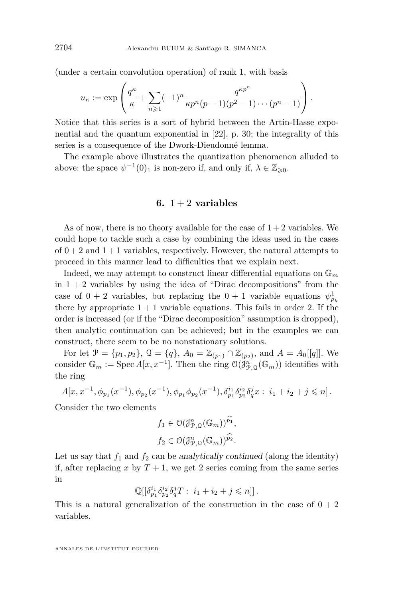(under a certain convolution operation) of rank 1, with basis

$$
u_{\kappa} := \exp\left(\frac{q^{\kappa}}{\kappa} + \sum_{n\geqslant 1} (-1)^n \frac{q^{\kappa p^n}}{\kappa p^n (p-1)(p^2-1)\cdots(p^n-1)}\right).
$$

Notice that this series is a sort of hybrid between the Artin-Hasse exponential and the quantum exponential in [\[22\]](#page-23-0), p. 30; the integrality of this series is a consequence of the Dwork-Dieudonné lemma.

The example above illustrates the quantization phenomenon alluded to above: the space  $\psi^{-1}(0)_1$  is non-zero if, and only if,  $\lambda \in \mathbb{Z}_{\geqslant 0}$ .

#### **6.**  $1 + 2$  **variables**

As of now, there is no theory available for the case of  $1+2$  variables. We could hope to tackle such a case by combining the ideas used in the cases of  $0+2$  and  $1+1$  variables, respectively. However, the natural attempts to proceed in this manner lead to difficulties that we explain next.

Indeed, we may attempt to construct linear differential equations on  $\mathbb{G}_m$ in  $1 + 2$  variables by using the idea of "Dirac decompositions" from the case of  $0 + 2$  variables, but replacing the  $0 + 1$  variable equations  $\psi_{p_k}^1$ there by appropriate  $1 + 1$  variable equations. This fails in order 2. If the order is increased (or if the "Dirac decomposition" assumption is dropped), then analytic continuation can be achieved; but in the examples we can construct, there seem to be no nonstationary solutions.

For let  $\mathcal{P} = \{p_1, p_2\}$ ,  $\mathcal{Q} = \{q\}$ ,  $A_0 = \mathbb{Z}_{(p_1)} \cap \mathbb{Z}_{(p_2)}$ , and  $A = A_0[[q]]$ . We consider  $\mathbb{G}_m := \text{Spec } A[x, x^{-1}]$ . Then the ring  $\mathcal{O}(\mathcal{J}_{\mathcal{P},\mathcal{Q}}^n(\mathbb{G}_m))$  identifies with the ring

$$
A[x, x^{-1}, \phi_{p_1}(x^{-1}), \phi_{p_2}(x^{-1}), \phi_{p_1}\phi_{p_2}(x^{-1}), \delta_{p_1}^{i_1}\delta_{p_2}^{i_2}\delta_q^jx : i_1 + i_2 + j \leq n].
$$

Consider the two elements

$$
f_1 \in \mathcal{O}(\mathcal{J}_{\mathcal{P},\mathcal{Q}}^n(\mathbb{G}_m))^{\widehat{p_1}},
$$
  

$$
f_2 \in \mathcal{O}(\mathcal{J}_{\mathcal{P},\mathcal{Q}}^n(\mathbb{G}_m))^{\widehat{p_2}}.
$$

Let us say that  $f_1$  and  $f_2$  can be analytically continued (along the identity) if, after replacing x by  $T + 1$ , we get 2 series coming from the same series in

$$
\mathbb{Q}[[\delta_{p_1}^{i_1}\delta_{p_2}^{i_2}\delta_q^jT:\ i_1+i_2+j\leqslant n]]\,.
$$

This is a natural generalization of the construction in the case of  $0 + 2$ variables.

ANNALES DE L'INSTITUT FOURIER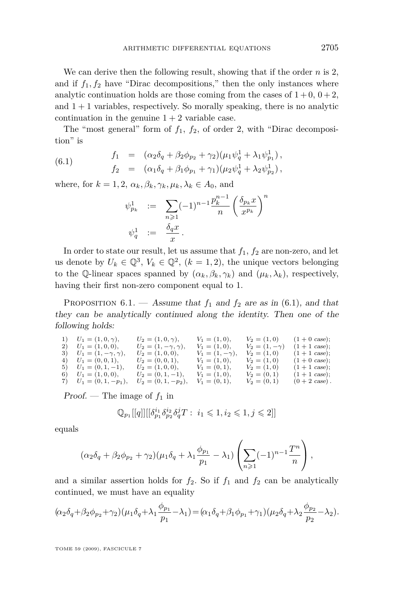We can derive then the following result, showing that if the order *n* is 2, and if  $f_1, f_2$  have "Dirac decompositions," then the only instances where analytic continuation holds are those coming from the cases of  $1 + 0$ ,  $0 + 2$ , and  $1 + 1$  variables, respectively. So morally speaking, there is no analytic continuation in the genuine  $1 + 2$  variable case.

The "most general" form of  $f_1$ ,  $f_2$ , of order 2, with "Dirac decomposition" is

(6.1) 
$$
f_1 = (\alpha_2 \delta_q + \beta_2 \phi_{p_2} + \gamma_2)(\mu_1 \psi_q^1 + \lambda_1 \psi_{p_1}^1), f_2 = (\alpha_1 \delta_q + \beta_1 \phi_{p_1} + \gamma_1)(\mu_2 \psi_q^1 + \lambda_2 \psi_{p_2}^1),
$$

where, for  $k = 1, 2, \alpha_k, \beta_k, \gamma_k, \mu_k, \lambda_k \in A_0$ , and

$$
\psi_{p_k}^1 := \sum_{n \geqslant 1} (-1)^{n-1} \frac{p_k^{n-1}}{n} \left( \frac{\delta_{p_k} x}{x^{p_k}} \right)^n
$$
  

$$
\psi_q^1 := \frac{\delta_q x}{x}.
$$

In order to state our result, let us assume that  $f_1$ ,  $f_2$  are non-zero, and let us denote by  $U_k \in \mathbb{Q}^3$ ,  $V_k \in \mathbb{Q}^2$ ,  $(k = 1, 2)$ , the unique vectors belonging to the Q-linear spaces spanned by  $(\alpha_k, \beta_k, \gamma_k)$  and  $(\mu_k, \lambda_k)$ , respectively, having their first non-zero component equal to 1.

PROPOSITION 6.1. — Assume that  $f_1$  and  $f_2$  are as in (6.1), and that they can be analytically continued along the identity. Then one of the following holds:

1)  $U_1 = (1, 0, \gamma),$   $U_2 = (1, 0, \gamma),$   $V_1 = (1, 0),$   $V_2 = (1, 0)$   $(1 + 0 \text{ case});$ <br>2)  $U_1 = (1, 0, 0),$   $U_2 = (1, -\gamma, \gamma),$   $V_1 = (1, 0),$   $V_2 = (1, -\gamma)$   $(1 + 1 \text{ case});$ 2)  $U_1 = (1, 0, 0)$ ,  $U_2 = (1, -\gamma, \gamma)$ ,  $V_1 = (1, 0)$ ,  $V_2 = (1, -\gamma)$   $(1 + 1 \text{ case})$ ;<br>3)  $U_1 = (1, -\gamma, \gamma)$ ,  $U_2 = (1, 0, 0)$ ,  $V_1 = (1, -\gamma)$ ,  $V_2 = (1, 0)$   $(1 + 1 \text{ case})$ ; 3)  $U_1 = (1, -\gamma, \gamma)$ ,  $U_2 = (1, 0, 0)$ ,  $V_1 = (1, -\gamma)$ ,  $V_2 = (1, 0)$   $(1 + 1 \text{ case})$ ;<br>4)  $U_1 = (0, 0, 1)$ ,  $U_2 = (0, 0, 1)$ ,  $V_1 = (1, 0)$ ,  $V_2 = (1, 0)$   $(1 + 0 \text{ case})$ ; 4)  $U_1 = (0, 0, 1),$   $U_2 = (0, 0, 1),$   $V_1 = (1, 0),$   $V_2 = (1, 0)$   $(1 + 0 \csc)$ ;<br>5)  $U_1 = (0, 1, -1),$   $U_2 = (1, 0, 0),$   $V_1 = (0, 1),$   $V_2 = (1, 0)$   $(1 + 1 \csc)$ ;<br>6)  $U_1 = (1, 0, 0),$   $U_2 = (0, 1, -1),$   $V_1 = (1, 0),$   $V_2 = (0, 1)$   $(1 + 1 \csc)$ ; 5)  $U_1 = (0, 1, -1)$ ,  $U_2 = (1, 0, 0)$ ,  $V_1 = (0, 1)$ ,  $V_2 = (1, 0)$   $(1 + 1 \text{ case})$ ;<br>
6)  $U_1 = (1, 0, 0)$ ,  $U_2 = (0, 1, -1)$ ,  $V_1 = (1, 0)$ ,  $V_2 = (0, 1)$   $(1 + 1 \text{ case})$ ;  $\overline{U_1} = (0, 1, -p_1), \quad \overline{U_2} = (0, 1, -p_2), \quad \overline{V_1} = (0, 1), \quad \overline{V_2} = (0, 1) \quad (0 + 2 \csc).$ 

 $Proof.$  — The image of  $f_1$  in

$$
\mathbb{Q}_{p_1}[[q]][[\delta_{p_1}^{i_1}\delta_{p_2}^{i_2}\delta_q^{j}T:\ i_1\leqslant 1, i_2\leqslant 1, j\leqslant 2]]
$$

equals

$$
(\alpha_2 \delta_q + \beta_2 \phi_{p_2} + \gamma_2)(\mu_1 \delta_q + \lambda_1 \frac{\phi_{p_1}}{p_1} - \lambda_1) \left( \sum_{n \geq 1} (-1)^{n-1} \frac{T^n}{n} \right),
$$

and a similar assertion holds for  $f_2$ . So if  $f_1$  and  $f_2$  can be analytically continued, we must have an equality

$$
(\alpha_2 \delta_q + \beta_2 \phi_{p_2} + \gamma_2)(\mu_1 \delta_q + \lambda_1 \frac{\phi_{p_1}}{p_1} - \lambda_1) = (\alpha_1 \delta_q + \beta_1 \phi_{p_1} + \gamma_1)(\mu_2 \delta_q + \lambda_2 \frac{\phi_{p_2}}{p_2} - \lambda_2).
$$

TOME 59 (2009), FASCICULE 7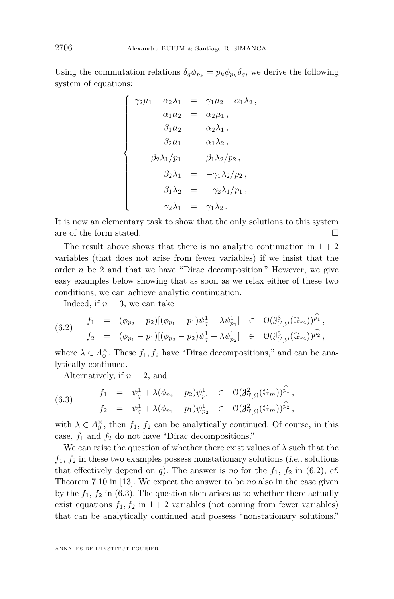Using the commutation relations  $\delta_q \phi_{p_k} = p_k \phi_{p_k} \delta_q$ , we derive the following system of equations:

$$
\begin{cases}\n\gamma_2 \mu_1 - \alpha_2 \lambda_1 &= \gamma_1 \mu_2 - \alpha_1 \lambda_2, \\
\alpha_1 \mu_2 &= \alpha_2 \mu_1, \\
\beta_1 \mu_2 &= \alpha_2 \lambda_1, \\
\beta_2 \mu_1 &= \alpha_1 \lambda_2, \\
\beta_2 \lambda_1 / p_1 &= \beta_1 \lambda_2 / p_2, \\
\beta_2 \lambda_1 &= -\gamma_1 \lambda_2 / p_2, \\
\beta_1 \lambda_2 &= -\gamma_2 \lambda_1 / p_1, \\
\gamma_2 \lambda_1 &= \gamma_1 \lambda_2.\n\end{cases}
$$

It is now an elementary task to show that the only solutions to this system are of the form stated.

The result above shows that there is no analytic continuation in  $1 + 2$ variables (that does not arise from fewer variables) if we insist that the order *n* be 2 and that we have "Dirac decomposition." However, we give easy examples below showing that as soon as we relax either of these two conditions, we can achieve analytic continuation.

Indeed, if  $n = 3$ , we can take

(6.2) 
$$
\begin{array}{rcl}\nf_1 & = & (\phi_{p_2} - p_2)[(\phi_{p_1} - p_1)\psi_q^1 + \lambda \psi_{p_1}^1] & \in & \mathcal{O}(\mathcal{J}_{\mathcal{P},\mathcal{Q}}^3(\mathbb{G}_m))^{p_1}, \\
f_2 & = & (\phi_{p_1} - p_1)[(\phi_{p_2} - p_2)\psi_q^1 + \lambda \psi_{p_2}^1] & \in & \mathcal{O}(\mathcal{J}_{\mathcal{P},\mathcal{Q}}^3(\mathbb{G}_m))^{p_2},\n\end{array}
$$

where  $\lambda \in A_0^{\times}$ . These  $f_1, f_2$  have "Dirac decompositions," and can be analytically continued.

Alternatively, if  $n = 2$ , and

(6.3) 
$$
f_1 = \psi_q^1 + \lambda (\phi_{p_2} - p_2) \psi_{p_1}^1 \in \mathcal{O}(\mathcal{J}_{\mathcal{P},\mathcal{Q}}^2(\mathbb{G}_m))^{p_1}, \n f_2 = \psi_q^1 + \lambda (\phi_{p_1} - p_1) \psi_{p_2}^1 \in \mathcal{O}(\mathcal{J}_{\mathcal{P},\mathcal{Q}}^2(\mathbb{G}_m))^{p_2},
$$

with  $\lambda \in A_0^{\times}$ , then  $f_1$ ,  $f_2$  can be analytically continued. Of course, in this case,  $f_1$  and  $f_2$  do not have "Dirac decompositions."

We can raise the question of whether there exist values of  $\lambda$  such that the  $f_1, f_2$  in these two examples possess nonstationary solutions (i.e., solutions that effectively depend on  $q$ ). The answer is no for the  $f_1$ ,  $f_2$  in (6.2), cf. Theorem 7.10 in [\[13\]](#page-23-0). We expect the answer to be no also in the case given by the  $f_1$ ,  $f_2$  in (6.3). The question then arises as to whether there actually exist equations  $f_1, f_2$  in  $1 + 2$  variables (not coming from fewer variables) that can be analytically continued and possess "nonstationary solutions."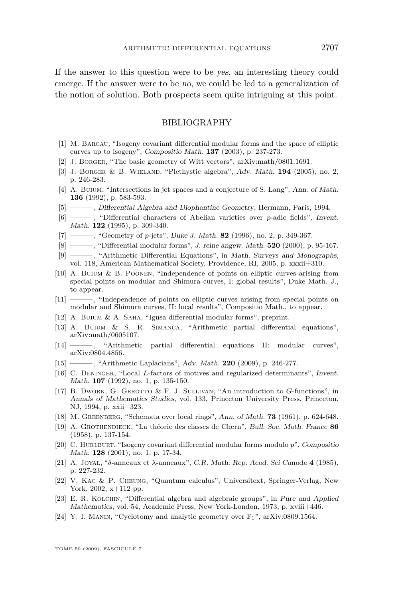<span id="page-23-0"></span>If the answer to this question were to be yes, an interesting theory could emerge. If the answer were to be no, we could be led to a generalization of the notion of solution. Both prospects seem quite intriguing at this point.

#### BIBLIOGRAPHY

- [1] M. Barcau, "Isogeny covariant differential modular forms and the space of elliptic curves up to isogeny", Compositio Math. **137** (2003), p. 237-273.
- [2] J. Borger, "The basic geometry of Witt vectors", arXiv:math/0801.1691.
- [3] J. Borger & B. Wieland, "Plethystic algebra", Adv. Math. **194** (2005), no. 2, p. 246-283.
- [4] A. BUIUM, "Intersections in jet spaces and a conjecture of S. Lang", Ann. of Math. **136** (1992), p. 583-593.
- [5] ——— , Differential Algebra and Diophantine Geometry, Hermann, Paris, 1994.
- [6] ——— , "Differential characters of Abelian varieties over *p*-adic fields", Invent. Math. **122** (1995), p. 309-340.
- [7] ——— , "Geometry of *p*-jets", Duke J. Math. **82** (1996), no. 2, p. 349-367.
- [8] ——— , "Differential modular forms", J. reine angew. Math. **520** (2000), p. 95-167.
- [9] ——— , "Arithmetic Differential Equations", in Math. Surveys and Monographs,
- vol. 118, American Mathematical Society, Providence, RI, 2005, p. xxxii+310.
- [10] A. Buium & B. Poonen, "Independence of points on elliptic curves arising from special points on modular and Shimura curves, I: global results", Duke Math. J., to appear.
- [11] ——— , "Independence of points on elliptic curves arising from special points on modular and Shimura curves, II: local results", Compositio Math., to appear.
- [12] A. BUIUM & A. SAHA, "Igusa differential modular forms", preprint.
- [13] A. Buium & S. R. Simanca, "Arithmetic partial differential equations", arXiv:math/0605107.
- [14] ——— , "Arithmetic partial differential equations II: modular curves", arXiv:0804.4856.
- [15] ——— , "Arithmetic Laplacians", Adv. Math. **220** (2009), p. 246-277.
- [16] C. Deninger, "Local *L*-factors of motives and regularized determinants", Invent. Math. **107** (1992), no. 1, p. 135-150.
- [17] B. Dwork, G. Gerotto & F. J. Sullivan, "An introduction to *G*-functions", in Annals of Mathematics Studies, vol. 133, Princeton University Press, Princeton, NJ, 1994, p. xxii+323.
- [18] M. Greenberg, "Schemata over local rings", Ann. of Math. **73** (1961), p. 624-648.
- [19] A. Grothendieck, "La théorie des classes de Chern", Bull. Soc. Math. France **86** (1958), p. 137-154.
- [20] C. Hurlburt, "Isogeny covariant differential modular forms modulo *p*", Compositio Math. **128** (2001), no. 1, p. 17-34.
- [21] A. Joyal, "*δ*-anneaux et *λ*-anneaux", C.R. Math. Rep. Acad. Sci Canada **4** (1985), p. 227-232.
- [22] V. Kac & P. Cheung, "Quantum calculus", Universitext, Springer-Verlag, New York, 2002, x+112 pp.
- [23] E. R. KOLCHIN, "Differential algebra and algebraic groups", in Pure and Applied Mathematics, vol. 54, Academic Press, New York-London, 1973, p. xviii+446.
- [24] Y. I. MANIN, "Cyclotomy and analytic geometry over  $\mathbb{F}_1$ ", arXiv:0809.1564.